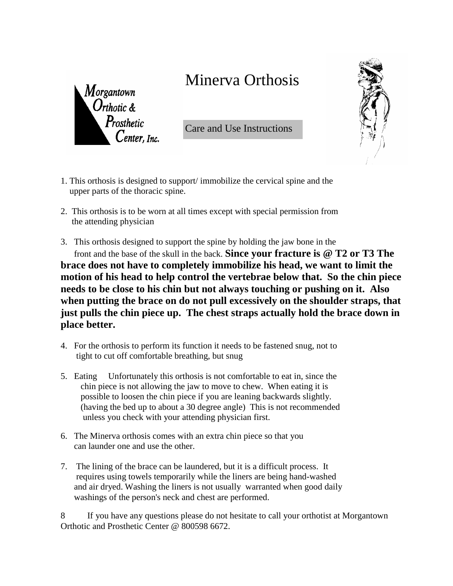## Minerva Orthosis



Care and Use Instructions

- 1. This orthosis is designed to support/ immobilize the cervical spine and the upper parts of the thoracic spine.
- 2. This orthosis is to be worn at all times except with special permission from the attending physician
- 3. This orthosis designed to support the spine by holding the jaw bone in the front and the base of the skull in the back. **Since your fracture is @ T2 or T3 The brace does not have to completely immobilize his head, we want to limit the motion of his head to help control the vertebrae below that. So the chin piece needs to be close to his chin but not always touching or pushing on it. Also when putting the brace on do not pull excessively on the shoulder straps, that just pulls the chin piece up. The chest straps actually hold the brace down in place better.**
- 4. For the orthosis to perform its function it needs to be fastened snug, not to tight to cut off comfortable breathing, but snug
- 5. Eating Unfortunately this orthosis is not comfortable to eat in, since the chin piece is not allowing the jaw to move to chew. When eating it is possible to loosen the chin piece if you are leaning backwards slightly. (having the bed up to about a 30 degree angle) This is not recommended unless you check with your attending physician first.
- 6. The Minerva orthosis comes with an extra chin piece so that you can launder one and use the other.
- 7. The lining of the brace can be laundered, but it is a difficult process. It requires using towels temporarily while the liners are being hand-washed and air dryed. Washing the liners is not usually warranted when good daily washings of the person's neck and chest are performed.

8 If you have any questions please do not hesitate to call your orthotist at Morgantown Orthotic and Prosthetic Center @ 800598 6672.